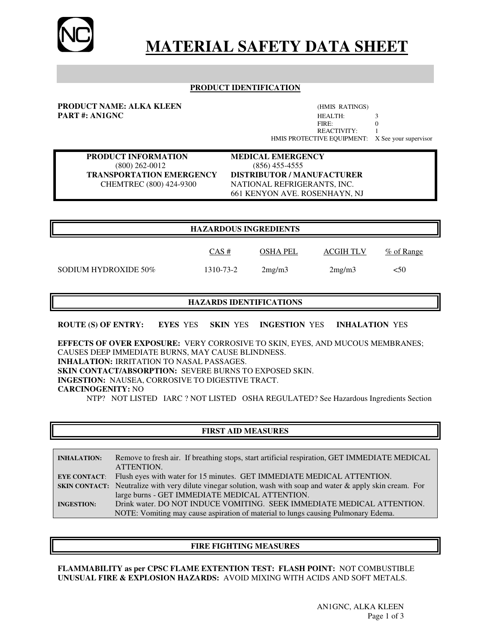

# **MATERIAL SAFETY DATA SHEET**

#### **PRODUCT IDENTIFICATION**

**PRODUCT NAME: ALKA KLEEN** (HMIS RATINGS)

**PART #: AN1GNC** HEALTH: 3<br>FIRE: 3<br> $F$ FIRE: 0 REACTIVITY: 1 HMIS PROTECTIVE EQUIPMENT: X See your supervisor

**PRODUCT INFORMATION MEDICAL EMERGENCY** (800) 262-0012 (856) 455-4555

**TRANSPORTATION EMERGENCY DISTRIBUTOR / MANUFACTURER** CHEMTREC (800) 424-9300 NATIONAL REFRIGERANTS, INC. 661 KENYON AVE. ROSENHAYN, NJ

 $\frac{CAS \#}{\#}$  OSHA PEL ACGIH TLV % of Range

#### **HAZARDOUS INGREDIENTS**

SODIUM HYDROXIDE  $50\%$  1310-73-2  $2\text{mg/m3}$   $2\text{mg/m3}$   $<50$ 

# **HAZARDS IDENTIFICATIONS**

**ROUTE (S) OF ENTRY: EYES** YES **SKIN** YES **INGESTION** YES **INHALATION** YES

**EFFECTS OF OVER EXPOSURE:** VERY CORROSIVE TO SKIN, EYES, AND MUCOUS MEMBRANES; CAUSES DEEP IMMEDIATE BURNS, MAY CAUSE BLINDNESS. **INHALATION:** IRRITATION TO NASAL PASSAGES. **SKIN CONTACT/ABSORPTION:** SEVERE BURNS TO EXPOSED SKIN. **INGESTION:** NAUSEA, CORROSIVE TO DIGESTIVE TRACT. **CARCINOGENITY:** NO NTP? NOT LISTED IARC ? NOT LISTED OSHA REGULATED? See Hazardous Ingredients Section

# **FIRST AID MEASURES**

| <b>INHALATION:</b> | Remove to fresh air. If breathing stops, start artificial respiration, GET IMMEDIATE MEDICAL                        |  |
|--------------------|---------------------------------------------------------------------------------------------------------------------|--|
|                    | ATTENTION.                                                                                                          |  |
|                    | <b>EYE CONTACT:</b> Flush eyes with water for 15 minutes. GET IMMEDIATE MEDICAL ATTENTION.                          |  |
|                    | <b>SKIN CONTACT:</b> Neutralize with very dilute vinegar solution, wash with soap and water & apply skin cream. For |  |
|                    | large burns - GET IMMEDIATE MEDICAL ATTENTION.                                                                      |  |
| <b>INGESTION:</b>  | Drink water. DO NOT INDUCE VOMITING. SEEK IMMEDIATE MEDICAL ATTENTION.                                              |  |
|                    | NOTE: Vomiting may cause aspiration of material to lungs causing Pulmonary Edema.                                   |  |

#### **FIRE FIGHTING MEASURES**

**FLAMMABILITY as per CPSC FLAME EXTENTION TEST: FLASH POINT:** NOT COMBUSTIBLE **UNUSUAL FIRE & EXPLOSION HAZARDS:** AVOID MIXING WITH ACIDS AND SOFT METALS.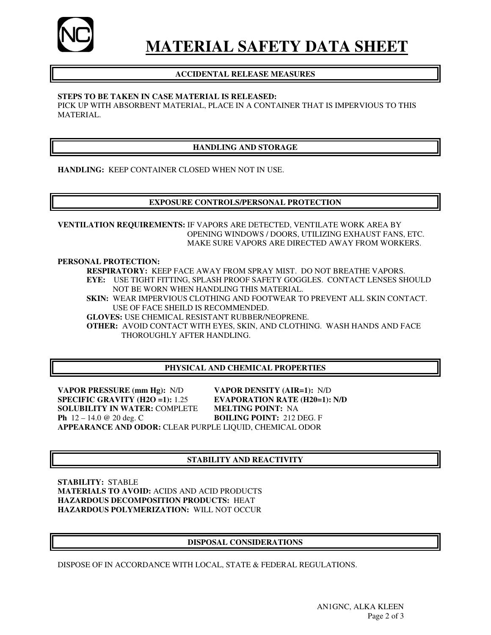

# **MATERIAL SAFETY DATA SHEET**

# **ACCIDENTAL RELEASE MEASURES**

#### **STEPS TO BE TAKEN IN CASE MATERIAL IS RELEASED:**

PICK UP WITH ABSORBENT MATERIAL, PLACE IN A CONTAINER THAT IS IMPERVIOUS TO THIS MATERIAL.

# **HANDLING AND STORAGE**

**HANDLING:** KEEP CONTAINER CLOSED WHEN NOT IN USE.

### **EXPOSURE CONTROLS/PERSONAL PROTECTION**

**VENTILATION REQUIREMENTS:** IF VAPORS ARE DETECTED, VENTILATE WORK AREA BY OPENING WINDOWS / DOORS, UTILIZING EXHAUST FANS, ETC.MAKE SURE VAPORS ARE DIRECTED AWAY FROM WORKERS.

**PERSONAL PROTECTION:** 

**RESPIRATORY:** KEEP FACE AWAY FROM SPRAY MIST. DO NOT BREATHE VAPORS. **EYE:** USE TIGHT FITTING, SPLASH PROOF SAFETY GOGGLES. CONTACT LENSES SHOULD NOT BE WORN WHEN HANDLING THIS MATERIAL.

**SKIN:** WEAR IMPERVIOUS CLOTHING AND FOOTWEAR TO PREVENT ALL SKIN CONTACT. USE OF FACE SHEILD IS RECOMMENDED.

**GLOVES:** USE CHEMICAL RESISTANT RUBBER/NEOPRENE.

**OTHER:** AVOID CONTACT WITH EYES, SKIN, AND CLOTHING. WASH HANDS AND FACE THOROUGHLY AFTER HANDLING.

# **PHYSICAL AND CHEMICAL PROPERTIES**

**VAPOR PRESSURE (mm Hg):** N/D **VAPOR DENSITY (AIR=1):** N/D **SPECIFIC GRAVITY (H2O =1):** 1.25 **EVAPORATION RATE (H20=1): N/D SOLUBILITY IN WATER:** COMPLETE **MELTING POINT:** NA **Ph** 12 – 14.0 @ 20 deg. C **BOILING POINT:** 212 DEG. F **APPEARANCE AND ODOR:** CLEAR PURPLE LIQUID, CHEMICAL ODOR

# **STABILITY AND REACTIVITY**

**STABILITY:** STABLE **MATERIALS TO AVOID:** ACIDS AND ACID PRODUCTS **HAZARDOUS DECOMPOSITION PRODUCTS:** HEAT **HAZARDOUS POLYMERIZATION:** WILL NOT OCCUR

#### **DISPOSAL CONSIDERATIONS**

DISPOSE OF IN ACCORDANCE WITH LOCAL, STATE & FEDERAL REGULATIONS.